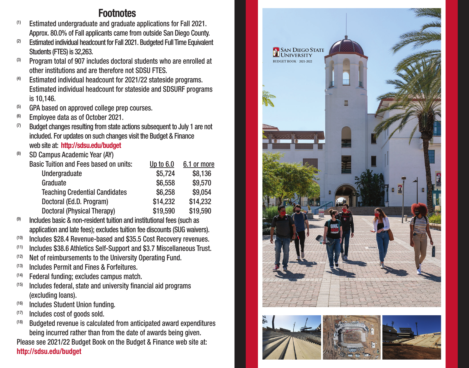## **Footnotes**

- $(1)$  Estimated undergraduate and graduate applications for Fall 2021. Approx. 80.0% of Fall applicants came from outside San Diego County.
- (2) Estimated individual headcount for Fall 2021. Budgeted Full Time Equivalent Students (FTES) is 32,263.
- (3) Program total of 907 includes doctoral students who are enrolled at other institutions and are therefore not SDSU FTES.
- (4) Estimated individual headcount for 2021/22 stateside programs. Estimated individual headcount for stateside and SDSURF programs is 10,146.
- (5) GPA based on approved college prep courses.
- (6) Employee data as of October 2021.
- $(7)$  Budget changes resulting from state actions subsequent to July 1 are not included. For updates on such changes visit the Budget & Finance web site at: **http://sdsu.edu/budget**
- (8) SD Campus Academic Year (AY)

| Basic Tuition and Fees based on units: | Up to $6.0$ | 6.1 or more |
|----------------------------------------|-------------|-------------|
| Undergraduate                          | \$5.724     | \$8,136     |
| Graduate                               | \$6,558     | \$9,570     |
| <b>Teaching Credential Candidates</b>  | \$6.258     | \$9.054     |
| Doctoral (Ed.D. Program)               | \$14.232    | \$14.232    |
| Doctoral (Physical Therapy)            | \$19.590    | \$19.590    |

- Includes basic & non-resident tuition and institutional fees (such as application and late fees); excludes tuition fee discounts (SUG waivers).
- (10) Includes \$28.4 Revenue-based and \$35.5 Cost Recovery revenues.
- Includes \$38.6 Athletics Self-Support and \$3.7 Miscellaneous Trust.
- (12) Net of reimbursements to the University Operating Fund.
- (13) Includes Permit and Fines & Forfeitures.
- (14) Federal funding; excludes campus match.
- $(15)$  Includes federal, state and university financial aid programs (excluding loans).
- $(16)$  Includes Student Union funding.<br> $(17)$  Includes cost of goods sold.
- 
- (18) Budgeted revenue is calculated from anticipated award expenditures being incurred rather than from the date of awards being given.

Please see 2021/22 Budget Book on the Budget & Finance web site at: **http://sdsu.edu/budget**